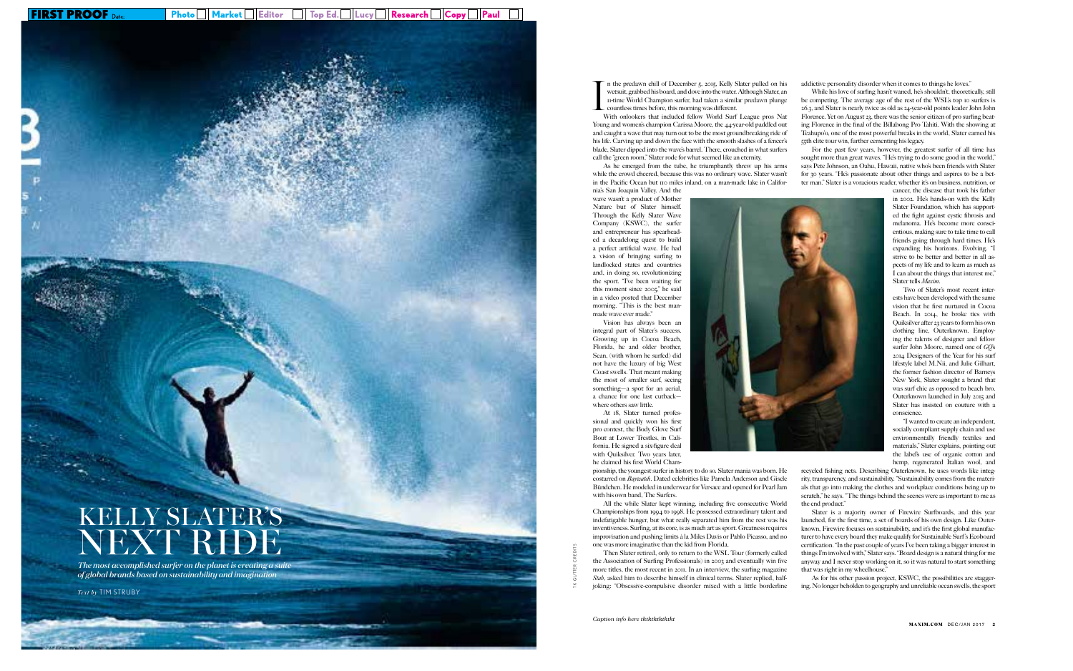

Photo  $\Box$  Market  $\Box$  Editor  $\Box$  Top Ed.  $\Box$  Lucy  $\Box$  Research  $\Box$  Copy  $\Box$  Paul  $\Box$ 

TK GUTTER CREDITS

I n the predawn chill of December 5, 2015, Kelly Slater pulled on his wetsuit, grabbed his board, and dove into the water. Although Slater, an 11-time World Champion surfer, had taken a similar predawn plunge countless times before, this morning was di ferent.

As he emerged from the tube, he triumphantly threw up his arms while the crowd cheered, because this was no ordinary wave. Slater wasn't in the Paci fc Ocean but 110 miles inland, on a man-made lake in California's San Joaquin Valley. And the

With onlookers that included fellow World Surf League pros Nat Young and women's champion Carissa Moore, the 44-year-old paddled out and caught a wave that may turn out to be the most groundbreaking ride of his life. Carving up and down the face with the smooth slashes of a fencer's blade, Slater dipped into the wave's barrel. There, crouched in what surfers call the "green room," Slater rode for what seemed like an eternity.

wave wasn't a product of Mother Nature but of Slater himself. Through the Kelly Slater Wave Company (KSWC), the surfer and entrepreneur has spearhead ed a decadelong quest to build a perfect arti fcial wave. He had a vision of bringing surfng to landlocked states and countries and, in doing so, revolutionizing the sport. "I've been waiting for this moment since 2005," he said in a video posted that December morning. "This is the best manmade wave ever made."

Vision has always been an integral part of Slater's success. Growing up in Cocoa Beach, Florida, he and older brother, Sean, (with whom he surfed) did not have the luxury of big West Coast swells. That meant making the most of smaller surf, seeing something—a spot for an aerial, a chance for one last cutback where others saw little.

At 18, Slater turned profes sional and quickly won his frst pro contest, the Body Glove Surf Bout at Lower Trestles, in Cali fornia. He signed a six-fgure deal with Quiksilver. Two years later, he claimed his frst World Cham -

pionship, the youngest surfer in history to do so. Slater mania was born. He costarred on *Baywatch*. Dated celebrities like Pamela Anderson and Gisele Bündchen. He modeled in underwear for Versace and opened for Pearl Jam with his own band, The Surfers.

All the while Slater kept winning, including fve consecutive World Championships from 1994 to 1998. He possessed extraordinary talent and indefatigable hunger, but what really separated him from the rest was his inventiveness. Surfng, at its core, is as much art as sport. Greatness requires improvisation and pushing limits à la Miles Davis or Pablo Picasso, and no one was more imaginative than the kid from Florida.

recycled fshing nets. Describing Outerknown, he uses words like integrity, transparency, and sustainability. "Sustainability comes from the materials that go into making the clothes and workplace conditions being up to scratch," he says. "The things behind the scenes were as important to me as the end product"

Then Slater retired, only to return to the WSL Tour (formerly called the Association of Surfing Professionals) in 2003 and eventually win five more titles, the most recent in 2011. In an interview, the sur fng magazine *Stab*, asked him to describe himself in clinical terms. Slater replied, halfjoking: "Obsessive-compulsive disorder mixed with a little borderline

addictive personality disorder when it comes to things he loves."

*The most accomplished surfer on the planet is creating a suit of global brands based on sustainability and imagination* 

While his love of surfng hasn't waned, he's shouldn't, theoretically, still be competing. The average age of the rest of the WSL's top 10 surfers is 26.3, and Slater is nearly twice as old as 24-year-old points leader John John Florence. Yet on August 23, there was the senior citizen of pro surfng beating Florence in the fnal of the Billabong Pro Tahiti. With the showing at Teahupo'o, one of the most powerful breaks in the world, Slater earned his 55th elite tour win, further cementing his legacy.

For the past few years, however, the greatest surfer of all time has sought more than great waves. "He's trying to do some good in the world," says Pete Johnson, an Oahu, Hawaii, native who's been friends with Slater for 30 years. "He's passionate about other things and aspires to be a better man." Slater is a voracious reader, whether it's on business, nutrition, or



cancer, the disease that took his father in 2002. He's hands-on with the Kelly Slater Foundation, which has supported the fight against cystic fibrosis and melanoma. He's become more consci entious, making sure to take time to call friends going through hard times. He's expanding his horizons. Evolving. "I strive to be better and better in all aspects of my life and to learn as much as I can about the things that interest me," Slater tells *Maxim*.

Two of Slater's most recent interests have been developed with the same vision that he frst nurtured in Cocoa Beach. In 2014, he broke ties with Quiksilver afer 23 years to form his own clothing line, Outerknown. Employing the talents of designer and fellow surfer John Moore, named one of *GQ*'s 2014 Designers of the Year for his surf lifestyle label M.Nii, and Julie Gilhart, the former fashion director of Barneys New York, Slater sought a brand that was surf chic as opposed to beach bro. Outerknown launched in July 2015 and Slater has insisted on couture with a conscience.

"I wanted to create an independent, socially compliant supply chain and use environmentally friendly textiles and materials," Slater explains, pointing out the label's use of organic cotton and hemp, regenerated Italian wool, and

Slater is a majority owner of Firewire Surfoards, and this year launched, for the frst time, a set of boards of his own design. Like Outerknown, Firewire focuses on sustainability, and it's the frst global manufacturer to have every board they make qualify for Sustainable Surf 's Ecoboard certi fcation. "In the past couple of years I've been taking a bigger interest in things I'm involved with," Slater says. "Board design is a natural thing for me anyway and I never stop working on it, so it was natural to start something that was right in my wheelhouse."

As for his other passion project, KSWC, the possibilities are staggering. No longer beholden to geography and unreliable ocean swells, the sport

## KELLY SLATER' S NEXT RIDE

*Te xt by* TIM STRUBY

*Caption info here tktktktktktkt*